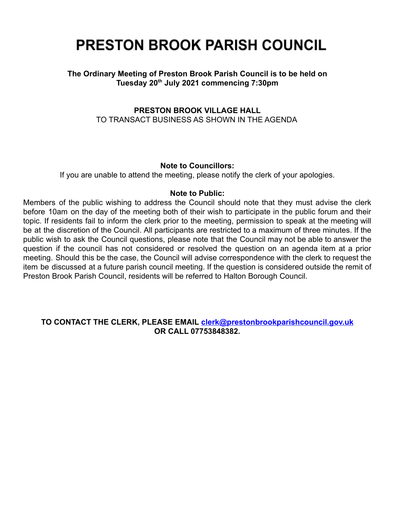# **PRESTON BROOK PARISH COUNCIL**

## **The Ordinary Meeting of Preston Brook Parish Council is to be held on Tuesday 20th July 2021 commencing 7:30pm**

## **PRESTON BROOK VILLAGE HALL** TO TRANSACT BUSINESS AS SHOWN IN THE AGENDA

#### **Note to Councillors:**

If you are unable to attend the meeting, please notify the clerk of your apologies.

#### **Note to Public:**

Members of the public wishing to address the Council should note that they must advise the clerk before 10am on the day of the meeting both of their wish to participate in the public forum and their topic. If residents fail to inform the clerk prior to the meeting, permission to speak at the meeting will be at the discretion of the Council. All participants are restricted to a maximum of three minutes. If the public wish to ask the Council questions, please note that the Council may not be able to answer the question if the council has not considered or resolved the question on an agenda item at a prior meeting. Should this be the case, the Council will advise correspondence with the clerk to request the item be discussed at a future parish council meeting. If the question is considered outside the remit of Preston Brook Parish Council, residents will be referred to Halton Borough Council.

#### **TO CONTACT THE CLERK, PLEASE EMAIL [clerk@prestonbrookparishcouncil.gov.uk](mailto:clerk@prestonbrookparishcouncil.gov.uk) OR CALL 07753848382.**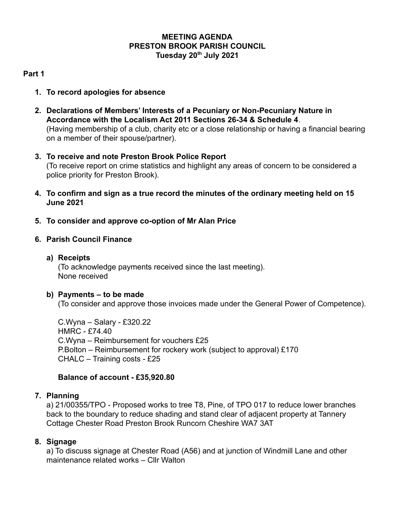## **MEETING AGENDA PRESTON BROOK PARISH COUNCIL Tuesday 20th July 2021**

## **Part 1**

- **1. To record apologies for absence**
- **2. Declarations of Members' Interests of a Pecuniary or Non-Pecuniary Nature in Accordance with the Localism Act 2011 Sections 26-34 & Schedule 4**. (Having membership of a club, charity etc or a close relationship or having a financial bearing on a member of their spouse/partner).
- **3. To receive and note Preston Brook Police Report** (To receive report on crime statistics and highlight any areas of concern to be considered a police priority for Preston Brook).
- **4. To confirm and sign as a true record the minutes of the ordinary meeting held on 15 June 2021**
- **5. To consider and approve co-option of Mr Alan Price**
- **6. Parish Council Finance**
	- **a) Receipts**

(To acknowledge payments received since the last meeting). None received

#### **b) Payments – to be made**

(To consider and approve those invoices made under the General Power of Competence).

C.Wyna – Salary - £320.22 HMRC - £74.40 C.Wyna – Reimbursement for vouchers £25 P.Bolton – Reimbursement for rockery work (subject to approval) £170 CHALC – Training costs - £25

## **Balance of account - £35,920.80**

#### **7. Planning**

a) 21/00355/TPO - Proposed works to tree T8, Pine, of TPO 017 to reduce lower branches back to the boundary to reduce shading and stand clear of adjacent property at Tannery Cottage Chester Road Preston Brook Runcorn Cheshire WA7 3AT

## **8. Signage**

a) To discuss signage at Chester Road (A56) and at junction of Windmill Lane and other maintenance related works – Cllr Walton